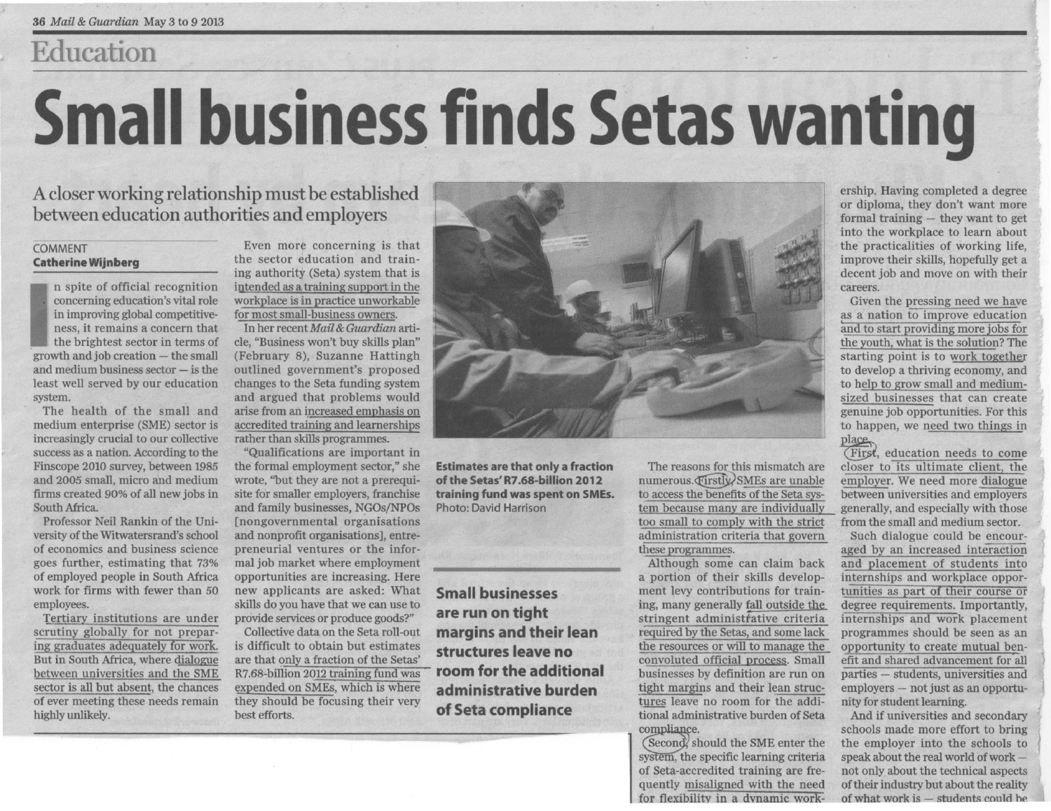## Education

## **Small business finds Setas wanting**

A closer working relationship must be established between education authorities and employers

## COMMENT **Catherine Wijnberg**

n spite of official recognition concerning education's vital role in improving global competitiveness, it remains a concern that the brightest sector in terms of  $growth$  and  $job$  creation  $-$  the small and medium business sector  $-$  is the least well served by our education system.

The health of the small and medium enterprise (SME) sector is increasingly crucial to our collective success as a nation. According to the Finscope 2010 survey, between 1985 and 2005 small, micro and medium firms created 90% of all new jobs in South Africa.

Professor Neil Rankin of the University of the Witwatersrand's school of economics and business science goes further, estimating that 73% of employed people in South Africa work for firms with fewer than 50 employees.

Tertiary institutions are under scrutiny globally for not preparing graduates adequately for work. But in South Africa, where dialogue between universities and the SME sector is all but absent, the chances of ever meeting these needs remain highly unlikely.

Even more concerning is that the sector education and training authority (Seta) system that is intended as atraining support in the workplace is in practice unworkable for most small-business owners.

In her recent *Mail* & *Guardian* article, "Business won't buy skills plan" (February 8), Suzanne Hattingh outlined government's proposed changes to the Seta funding system and argued that problems would arise from an increased emphasis on accredited training and learnerships rather than skills programmes.

"Qualifications are important in the formal employment sector," she wrote, ''but they are not a prerequisite for smaller employers, franchise and family businesses, NGOs/NPOs [nongovernmental organisations and nonprofit organisations], entrepreneurial ventures or the informal job market where employment opportunities are increasing. Here new applicants are asked: What skills do you have that we can use to provide services or produce goods?"

Collective data on the Seta roll-out is difficult to obtain but estimates are that only a fraction of the Setas' R7.68-billion 2012 training fund was expended on SMEs, which is where they should be focusing their very best efforts.



Estimates are that only a fraction of the Setas' R7.68-billion 2012 training fund was spent on SMEs. Photo: David Harrison

Small businesses are run on tight margins and their lean structures leave no room for the additional administrative burden of Seta compliance

The reasons for this mismatch are  $numerous.$  Firstly SMEs are unable to access the benefits of the Seta system because many are individually too small to comply with the strict administration criteria that govern these programmes.

Although some can claim back a portion of their skills development levy contributions for training, many generally fall outside the stringent administrative criteria required by the Setas, and some lack the resources or will to manage the the resources or will to manage the<br>convoluted official process. Small<br>businesses by definition are run on<br>tight margins and their lean struc-<br>tures leave no room for the addi-<br>compliance.<br>(Second), should the SME enter th businesses by definition are run on tight margins and their lean structures leave no room for the additional administrative burden of Seta businesses by d<br>tight margins a<br>t<u>ures</u> leave no<br>tional administr<br>compliance.<br>(Second, should<br>system, the spec<br>of Seta-accredit

(Second, should the SME enter the system, the specific learning criteria of Seta-accredited training are frequently misaligned with the need for flexibility in a dynamic workership. Having completed a degree or diploma, they don't want more formal training  $-$  they want to get into the workplace to learn about the practicalities of working life, improve their skills, hopefully get a decent job and move on with their careers.

Given the pressing need we have as a nation to improve education and to start providing more jobs for the youth, what is the solution? The starting point is to work together to develop a thriving economy, and to help to grow small and mediumsized businesses that can create genuine job opportunities. For this to happen, we need two things in place

(First, education needs to come closer to its ultimate client, the employer. We need more dialogue between universities and employers generally, and especially with those from the small and medium sector.

Such dialogue could be encouraged by an increased interaction and placement of students into internships and workplace opportunities as part of their course or degree requirements. Importantly, Internships and work placement programmes should be seen as an opportunity to create mutual benefit and shared advancement for all parties - students, universities and employers - not just as an opportunity for student learning.

And if universities and secondary schools made more effort to bring the employer into the schools to speak about the real world of work not only about the technical aspects of their industry but about the reality of what work is  $-$  students could be